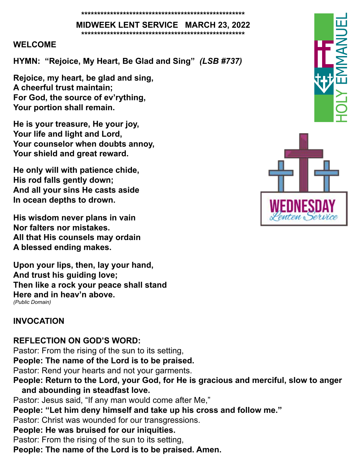#### **\*\*\*\*\*\*\*\*\*\*\*\*\*\*\*\*\*\*\*\*\*\*\*\*\*\*\*\*\*\*\*\*\*\*\*\*\*\*\*\*\*\*\*\*\*\*\*\*\*\*\* MIDWEEK LENT SERVICE MARCH 23, 2022**

**\*\*\*\*\*\*\*\*\*\*\*\*\*\*\*\*\*\*\*\*\*\*\*\*\*\*\*\*\*\*\*\*\*\*\*\*\*\*\*\*\*\*\*\*\*\*\*\*\*\*\***

#### **WELCOME**

**HYMN: "Rejoice, My Heart, Be Glad and Sing"** *(LSB #737)*

**Rejoice, my heart, be glad and sing, A cheerful trust maintain; For God, the source of ev'rything, Your portion shall remain.**

**He is your treasure, He your joy, Your life and light and Lord, Your counselor when doubts annoy, Your shield and great reward.**

**He only will with patience chide, His rod falls gently down; And all your sins He casts aside In ocean depths to drown.**

**His wisdom never plans in vain Nor falters nor mistakes. All that His counsels may ordain A blessed ending makes.**

**Upon your lips, then, lay your hand, And trust his guiding love; Then like a rock your peace shall stand Here and in heav'n above.** *(Public Domain)*

#### **INVOCATION**

**REFLECTION ON GOD'S WORD:**

Pastor: From the rising of the sun to its setting,

**People: The name of the Lord is to be praised.**

Pastor: Rend your hearts and not your garments.

**People: Return to the Lord, your God, for He is gracious and merciful, slow to anger and abounding in steadfast love.**

Pastor: Jesus said, "If any man would come after Me,"

**People: "Let him deny himself and take up his cross and follow me."**

Pastor: Christ was wounded for our transgressions.

### **People: He was bruised for our iniquities.**

Pastor: From the rising of the sun to its setting,

**People: The name of the Lord is to be praised. Amen.** 



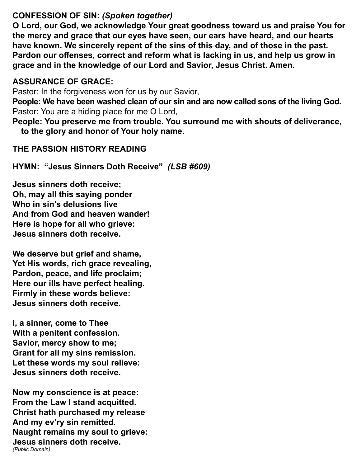#### **CONFESSION OF SIN:** *(Spoken together)*

**O Lord, our God, we acknowledge Your great goodness toward us and praise You for the mercy and grace that our eyes have seen, our ears have heard, and our hearts have known. We sincerely repent of the sins of this day, and of those in the past. Pardon our offenses, correct and reform what is lacking in us, and help us grow in grace and in the knowledge of our Lord and Savior, Jesus Christ. Amen.** 

#### **ASSURANCE OF GRACE:**

Pastor: In the forgiveness won for us by our Savior,

**People: We have been washed clean of our sin and are now called sons of the living God.** Pastor: You are a hiding place for me O Lord,

**People: You preserve me from trouble. You surround me with shouts of deliverance, to the glory and honor of Your holy name.** 

#### **THE PASSION HISTORY READING**

**HYMN: "Jesus Sinners Doth Receive"** *(LSB #609)*

**Jesus sinners doth receive; Oh, may all this saying ponder Who in sin's delusions live And from God and heaven wander! Here is hope for all who grieve: Jesus sinners doth receive.**

**We deserve but grief and shame, Yet His words, rich grace revealing, Pardon, peace, and life proclaim; Here our ills have perfect healing. Firmly in these words believe: Jesus sinners doth receive.** 

**I, a sinner, come to Thee With a penitent confession. Savior, mercy show to me; Grant for all my sins remission. Let these words my soul relieve: Jesus sinners doth receive.** 

**Now my conscience is at peace: From the Law I stand acquitted. Christ hath purchased my release And my ev'ry sin remitted. Naught remains my soul to grieve: Jesus sinners doth receive.** *(Public Domain)*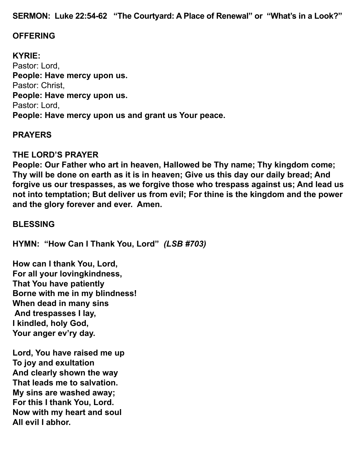**SERMON: Luke 22:54-62 "The Courtyard: A Place of Renewal" or "What's in a Look?"**

#### **OFFERING**

**KYRIE:** Pastor: Lord, **People: Have mercy upon us.** Pastor: Christ, **People: Have mercy upon us.**  Pastor: Lord, **People: Have mercy upon us and grant us Your peace.** 

#### **PRAYERS**

#### **THE LORD'S PRAYER**

**People: Our Father who art in heaven, Hallowed be Thy name; Thy kingdom come; Thy will be done on earth as it is in heaven; Give us this day our daily bread; And forgive us our trespasses, as we forgive those who trespass against us; And lead us not into temptation; But deliver us from evil; For thine is the kingdom and the power and the glory forever and ever. Amen.** 

#### **BLESSING**

**HYMN: "How Can I Thank You, Lord"** *(LSB #703)*

**How can I thank You, Lord, For all your lovingkindness, That You have patiently Borne with me in my blindness! When dead in many sins And trespasses I lay, I kindled, holy God, Your anger ev'ry day.**

**Lord, You have raised me up To joy and exultation And clearly shown the way That leads me to salvation. My sins are washed away; For this I thank You, Lord. Now with my heart and soul All evil I abhor.**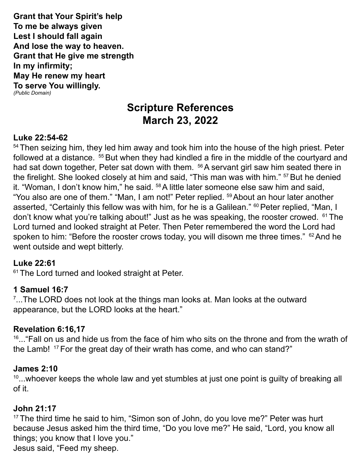**Grant that Your Spirit's help To me be always given Lest I should fall again And lose the way to heaven. Grant that He give me strength In my infirmity; May He renew my heart To serve You willingly.** *(Public Domain)*

## **Scripture References March 23, 2022**

#### **Luke 22:54-62**

<sup>54</sup> Then seizing him, they led him away and took him into the house of the high priest. Peter followed at a distance. <sup>55</sup> But when they had kindled a fire in the middle of the courtyard and had sat down together, Peter sat down with them. <sup>56</sup> A servant girl saw him seated there in the firelight. She looked closely at him and said, "This man was with him." <sup>57</sup> But he denied it. "Woman, I don't know him," he said. <sup>58</sup> A little later someone else saw him and said, "You also are one of them." "Man, I am not!" Peter replied. <sup>59</sup> About an hour later another asserted, "Certainly this fellow was with him, for he is a Galilean." <sup>60</sup> Peter replied, "Man, I don't know what you're talking about!" Just as he was speaking, the rooster crowed. 61 The Lord turned and looked straight at Peter. Then Peter remembered the word the Lord had spoken to him: "Before the rooster crows today, you will disown me three times."  $62$  And he went outside and wept bitterly.

#### **Luke 22:61**

<sup>61</sup> The Lord turned and looked straight at Peter.

#### **1 Samuel 16:7**

7 ...The LORD does not look at the things man looks at. Man looks at the outward appearance, but the LORD looks at the heart."

#### **Revelation 6:16,17**

 $16...$  Fall on us and hide us from the face of him who sits on the throne and from the wrath of the Lamb! <sup>17</sup> For the great day of their wrath has come, and who can stand?"

#### **James 2:10**

 $10...$  whoever keeps the whole law and yet stumbles at just one point is guilty of breaking all of it.

#### **John 21:17**

<sup>17</sup> The third time he said to him, "Simon son of John, do you love me?" Peter was hurt because Jesus asked him the third time, "Do you love me?" He said, "Lord, you know all things; you know that I love you."

Jesus said, "Feed my sheep.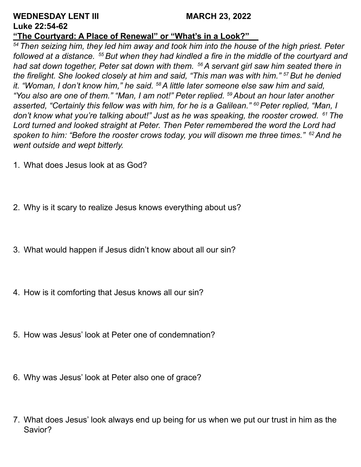#### **WEDNESDAY LENT III** MARCH 23, 2022 **Luke 22:54-62**

#### **"The Courtyard: A Place of Renewal" or "What's in a Look?"\_\_**

*54 Then seizing him, they led him away and took him into the house of the high priest. Peter followed at a distance. 55 But when they had kindled a fire in the middle of the courtyard and had sat down together, Peter sat down with them. 56 A servant girl saw him seated there in the firelight. She looked closely at him and said, "This man was with him." 57 But he denied it. "Woman, I don't know him," he said. 58 A little later someone else saw him and said, "You also are one of them." "Man, I am not!" Peter replied. 59 About an hour later another asserted, "Certainly this fellow was with him, for he is a Galilean." <sup>60</sup>Peter replied, "Man, I don't know what you're talking about!" Just as he was speaking, the rooster crowed. 61 The Lord turned and looked straight at Peter. Then Peter remembered the word the Lord had spoken to him: "Before the rooster crows today, you will disown me three times." 62 And he went outside and wept bitterly.*

- 1. What does Jesus look at as God?
- 2. Why is it scary to realize Jesus knows everything about us?
- 3. What would happen if Jesus didn't know about all our sin?
- 4. How is it comforting that Jesus knows all our sin?
- 5. How was Jesus' look at Peter one of condemnation?
- 6. Why was Jesus' look at Peter also one of grace?
- 7. What does Jesus' look always end up being for us when we put our trust in him as the Savior?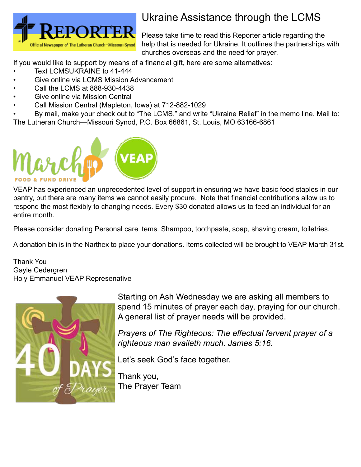

# Ukraine Assistance through the LCMS

Please take time to read this Reporter article regarding the help that is needed for Ukraine. It outlines the partnerships with churches overseas and the need for prayer.

If you would like to support by means of a financial gift, here are some alternatives:

- Text LCMSUKRAINE to 41-444
- Give online via LCMS Mission Advancement
- Call the LCMS at 888-930-4438
- Give online via Mission Central
- Call Mission Central (Mapleton, Iowa) at 712-882-1029

• By mail, make your check out to "The LCMS," and write "Ukraine Relief" in the memo line. Mail to: The Lutheran Church—Missouri Synod, P.O. Box 66861, St. Louis, MO 63166-6861



VEAP has experienced an unprecedented level of support in ensuring we have basic food staples in our pantry, but there are many items we cannot easily procure. Note that financial contributions allow us to respond the most flexibly to changing needs. Every \$30 donated allows us to feed an individual for an entire month.

Please consider donating Personal care items. Shampoo, toothpaste, soap, shaving cream, toiletries.

A donation bin is in the Narthex to place your donations. Items collected will be brought to VEAP March 31st.

Thank You Gayle Cedergren Holy Emmanuel VEAP Represenative



Starting on Ash Wednesday we are asking all members to spend 15 minutes of prayer each day, praying for our church. A general list of prayer needs will be provided.

*Prayers of The Righteous: The effectual fervent prayer of a righteous man availeth much. James 5:16.*

Let's seek God's face together.

Thank you, The Prayer Team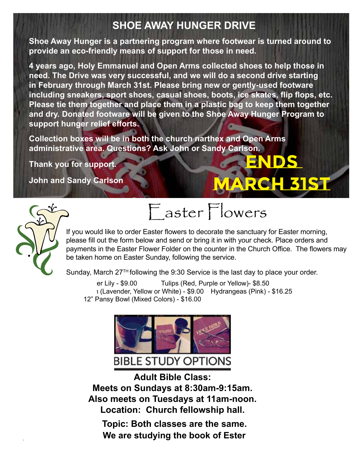#### **SHOE AWAY HUNGER DRIVE** ֧֧֧֧֧֧֧֧֚֚֚֚֚֚֚֚֚֚֚֚֚֚֚֚֚֚֚֚֚֚֚֚֚֚֚֬֡֓֡֘֡֡֬֓֡֓֓֓֓

\_\_\_\_Tulips (Yellow) \$8.50

\_\_\_\_Mum (Lavender) \$9.00

Please make checks payable to Holy Emmanuel. If you have any questions, check with Cindy Marko. Thank you!

**ENDS** 

**MARCH 31st**

Shoe Away Hunger is a partnering program where footwear is turned around to provide an eco-friendly means of support for those in need. \_\_\_\_Mum (White) \$9.00

4 years ago, Holy Emmanuel and Open Arms collected shoes to help those in **the solut of the solut need. The Drive was very successful, and we will do a second drive starting**  in February through March 31st. Please bring new or gently-used footware **week as a final to the including sneakers, sport shoes, casual shoes, boots, ice skates, flip flops, etc.**  Please tie them together and place them in a plastic bag to keep them together **and dry. Donated footware will be given to the Shoe Away Hunger Program to support hunger relief efforts.** In Honor of Lee and Honor of Lee and Honor of Lee and Honor of Lee and Honor of Lee and Honor of Lee and  $\mathcal{L}^{\text{H}}$  is  $\mathcal{L}^{\text{H}}$  is  $\mathcal{L}^{\text{H}}$  is a set of  $\mathcal{L}^{\text{H}}$ 

**Collection boxes will be in both the church narthex and Open Arms**  administrative area. Questions? Ask John or Sandy Carlson.  $\blacksquare$ In Memory of  $\blacksquare$ 

**Thank you for support.** 

\_\_\_\_Tulips (Yellow) \$8.50

**John and Sandy Carlson** If you have a greater any check with Cindy Marko. Thank you have a greater any control of the Cindy Marko. Thank you have a greater and



# Easter Flowers Easter Flowers

If you would like to order Easter flowers to decorate If you would like to order Easter flowers to decorate If you would like to order Easter flowers to decorate the sanctuary for Easter morning, please fill out the form below and send or bring it in with your check. Place orders and payments in the Easter Flower Folder on the counter in the Church Office. The flowers may be taken home on Easter Sunday, following the service.

Sunday, March 27 $^{\text{\tiny{\textsf{TH}}}}$ following the 9:30 Service is the last day to place your order.

 $er$  Lilv -  $$9.00$ Sunday, March 27TH following the 9:30 Service is the last day to place Sunday, March 27TH following the 9:30 Service is the last day to place Mum (Lavender, Yellow or White) - \$9.00 Hydrangeas (Pink) - \$16.25 Tulips (Red, Purple or Yellow)- \$8.50 12" Pansy Bowl (Mixed Colors) - \$16.00



 $\mathcal{L}_M$  (Lavender)  $\mathcal{L}_M$  (Lavender)  $\mathcal{L}_M$  (Lavender)  $\mathcal{L}_M$  $\overline{\phantom{a}}$ \_\_\_\_Mum (White) \$9.00 **Meets on Sundays at 8:30am-9:15am. Meets on Sundays at 8:30am-9:15am. Location: Church fellowship hall. Adult Bible Class: Also meets on Tuesdays at 11am-noon. Also meets on Tuesdays at 11am-noon. Adult Bible Class: Adult Bible Class:** w m<del>eets on Tuesuays at Fiam-noon.</del><br>Leestiese Obusek fellewekis hell **Adults** Bible Class: **Meets on Sundays at 8:30am-9:15am.** 

Topic: Both classes are the same. **Example 20 You are studying the book of Ester**